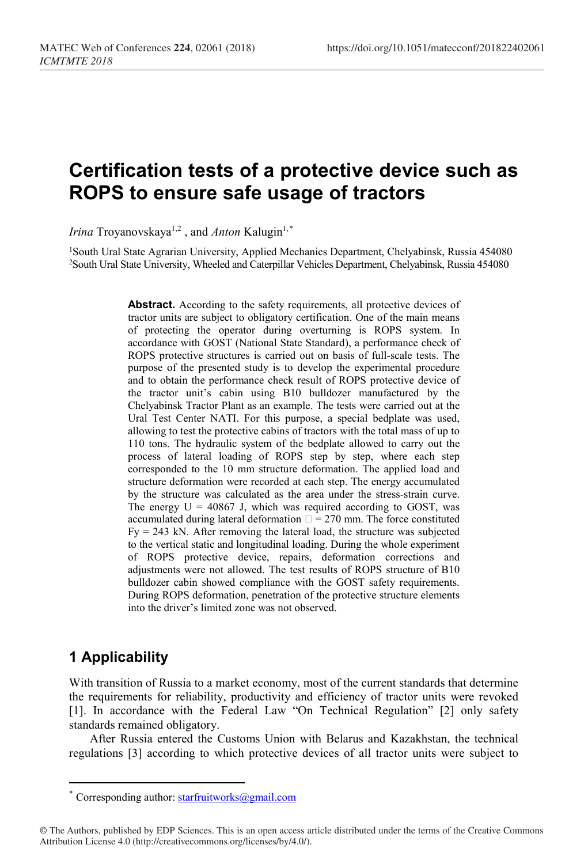# **Certification tests of a protective device such as ROPS to ensure safe usage of tractors**

*Irina* Troyanovskaya<sup>1,2</sup>, and *Anton* Kalugin<sup>1,[\\*](#page-0-0)</sup>

1South Ural State Agrarian University, Applied Mechanics Department, Chelyabinsk, Russia 454080 2 South Ural State University, Wheeled and Caterpillar Vehicles Department, Chelyabinsk, Russia 454080

> Abstract. According to the safety requirements, all protective devices of tractor units are subject to obligatory certification. One of the main means of protecting the operator during overturning is ROPS system. In accordance with GOST (National State Standard), a performance check of ROPS protective structures is carried out on basis of full-scale tests. The purpose of the presented study is to develop the experimental procedure and to obtain the performance check result of ROPS protective device of the tractor unit's cabin using B10 bulldozer manufactured by the Chelyabinsk Tractor Plant as an example. The tests were carried out at the Ural Test Center NATI. For this purpose, a special bedplate was used, allowing to test the protective cabins of tractors with the total mass of up to 110 tons. The hydraulic system of the bedplate allowed to carry out the process of lateral loading of ROPS step by step, where each step corresponded to the 10 mm structure deformation. The applied load and structure deformation were recorded at each step. The energy accumulated by the structure was calculated as the area under the stress-strain curve. The energy  $U = 40867$  J, which was required according to GOST, was accumulated during lateral deformation  $\square = 270$  mm. The force constituted  $Fy = 243$  kN. After removing the lateral load, the structure was subjected to the vertical static and longitudinal loading. During the whole experiment of ROPS protective device, repairs, deformation corrections and adjustments were not allowed. The test results of ROPS structure of B10 bulldozer cabin showed compliance with the GOST safety requirements. During ROPS deformation, penetration of the protective structure elements into the driver's limited zone was not observed.

# **1 Applicability**

 $\overline{a}$ 

With transition of Russia to a market economy, most of the current standards that determine the requirements for reliability, productivity and efficiency of tractor units were revoked [1]. In accordance with the Federal Law "On Technical Regulation" [2] only safety standards remained obligatory.

After Russia entered the Customs Union with Belarus and Kazakhstan, the technical regulations [3] according to which protective devices of all tractor units were subject to

<sup>\*</sup> Corresponding author:  $star$  function- $\log_{10}(q)$  com

<span id="page-0-0"></span><sup>©</sup> The Authors, published by EDP Sciences. This is an open access article distributed under the terms of the Creative Commons Attribution License 4.0 (http://creativecommons.org/licenses/by/4.0/).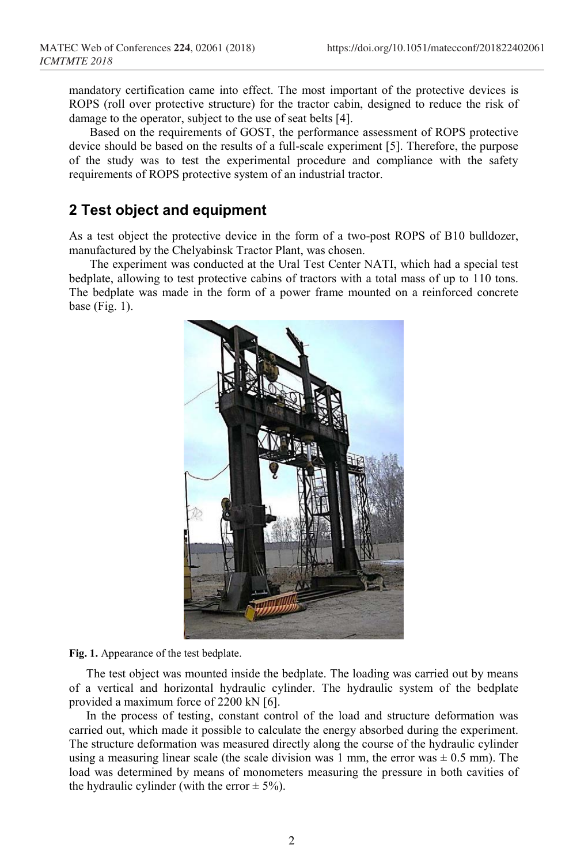mandatory certification came into effect. The most important of the protective devices is ROPS (roll over protective structure) for the tractor cabin, designed to reduce the risk of damage to the operator, subject to the use of seat belts [4].

Based on the requirements of GOST, the performance assessment of ROPS protective device should be based on the results of a full-scale experiment [5]. Therefore, the purpose of the study was to test the experimental procedure and compliance with the safety requirements of ROPS protective system of an industrial tractor.

### **2 Test object and equipment**

As a test object the protective device in the form of a two-post ROPS of B10 bulldozer, manufactured by the Chelyabinsk Tractor Plant, was chosen.

The experiment was conducted at the Ural Test Center NATI, which had a special test bedplate, allowing to test protective cabins of tractors with a total mass of up to 110 tons. The bedplate was made in the form of a power frame mounted on a reinforced concrete base (Fig.  $1$ ).



**Fig. 1.** Appearance of the test bedplate.

The test object was mounted inside the bedplate. The loading was carried out by means of a vertical and horizontal hydraulic cylinder. The hydraulic system of the bedplate provided a maximum force of 2200 kN [6].

In the process of testing, constant control of the load and structure deformation was carried out, which made it possible to calculate the energy absorbed during the experiment. The structure deformation was measured directly along the course of the hydraulic cylinder using a measuring linear scale (the scale division was 1 mm, the error was  $\pm$  0.5 mm). The load was determined by means of monometers measuring the pressure in both cavities of the hydraulic cylinder (with the error  $\pm$  5%).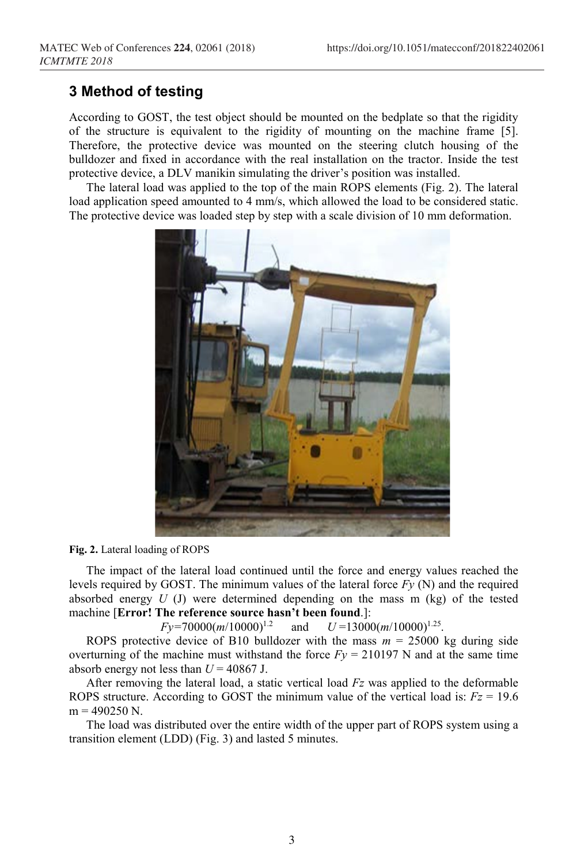# **3 Method of testing**

According to GOST, the test object should be mounted on the bedplate so that the rigidity of the structure is equivalent to the rigidity of mounting on the machine frame [5]. Therefore, the protective device was mounted on the steering clutch housing of the bulldozer and fixed in accordance with the real installation on the tractor. Inside the test protective device, a DLV manikin simulating the driver's position was installed.

The lateral load was applied to the top of the main ROPS elements (Fig. 2). The lateral load application speed amounted to 4 mm/s, which allowed the load to be considered static. The protective device was loaded step by step with a scale division of 10 mm deformation.



#### **Fig. 2.** Lateral loading of ROPS

The impact of the lateral load continued until the force and energy values reached the levels required by GOST. The minimum values of the lateral force *Fy* (N) and the required absorbed energy  $U$  (J) were determined depending on the mass  $m$  (kg) of the tested machine [**Error! The reference source hasn't been found**.]:

*Fy=*70000(*m*/10000)1.2 and  $U = 13000(m/10000)^{1.25}$ .

ROPS protective device of B10 bulldozer with the mass  $m = 25000$  kg during side overturning of the machine must withstand the force  $F_y = 210197$  N and at the same time absorb energy not less than  $U = 40867$  J.

After removing the lateral load, a static vertical load *Fz* was applied to the deformable ROPS structure. According to GOST the minimum value of the vertical load is:  $Fz = 19.6$  $m = 490250$  N.

The load was distributed over the entire width of the upper part of ROPS system using a transition element (LDD) (Fig. 3) and lasted 5 minutes.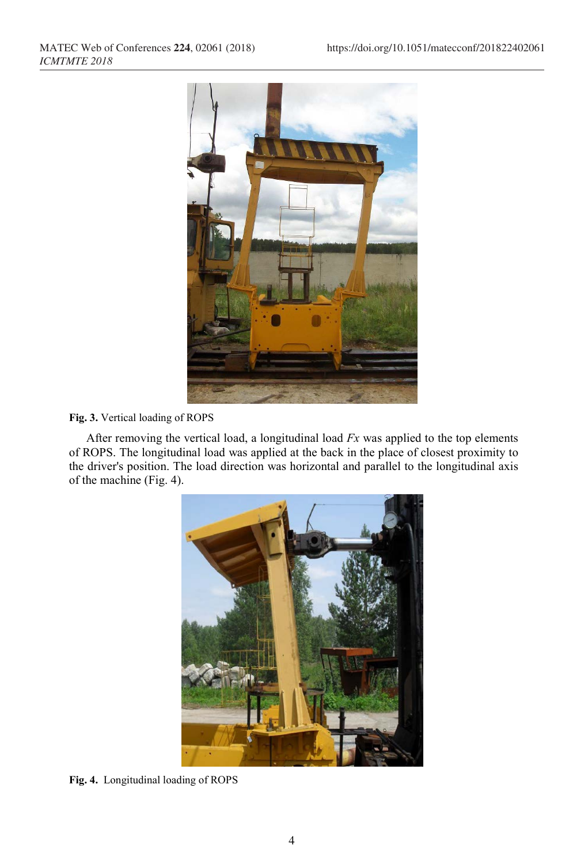

#### **Fig. 3.** Vertical loading of ROPS

After removing the vertical load, a longitudinal load *Fx* was applied to the top elements of ROPS. The longitudinal load was applied at the back in the place of closest proximity to the driver's position. The load direction was horizontal and parallel to the longitudinal axis of the machine (Fig. 4).



**Fig. 4.** Longitudinal loading of ROPS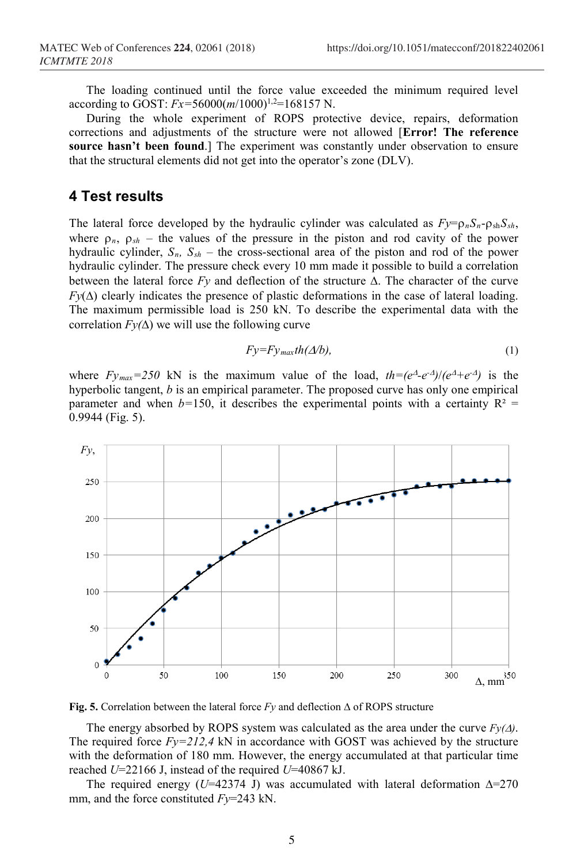The loading continued until the force value exceeded the minimum required level according to GOST:  $Fx=56000(m/1000)^{1,2}=168157$  N.

During the whole experiment of ROPS protective device, repairs, deformation corrections and adjustments of the structure were not allowed [**Error! The reference source hasn't been found**.] The experiment was constantly under observation to ensure that the structural elements did not get into the operator's zone (DLV).

### **4 Test results**

The lateral force developed by the hydraulic cylinder was calculated as  $Fy = \rho_n S_n - \rho_{sh} S_{sh}$ , where  $\rho_n$ ,  $\rho_{sh}$  – the values of the pressure in the piston and rod cavity of the power hydraulic cylinder,  $S_n$ ,  $S_{sh}$  – the cross-sectional area of the piston and rod of the power hydraulic cylinder. The pressure check every 10 mm made it possible to build a correlation between the lateral force *Fy* and deflection of the structure ∆. The character of the curve *Fy*( $\Delta$ ) clearly indicates the presence of plastic deformations in the case of lateral loading. The maximum permissible load is 250 kN. To describe the experimental data with the correlation  $Fy(\Delta)$  we will use the following curve

$$
Fy = Fy_{max}th(\Delta/b),\tag{1}
$$

where  $Fy_{max}=250$  kN is the maximum value of the load,  $th=(e^{\Delta}-e^{-\Delta})/(e^{\Delta}+e^{-\Delta})$  is the hyperbolic tangent, *b* is an empirical parameter. The proposed curve has only one empirical parameter and when  $b=150$ , it describes the experimental points with a certainty  $R^2 =$ 0.9944 (Fig. 5).



**Fig. 5.** Correlation between the lateral force *Fy* and deflection ∆ of ROPS structure

The energy absorbed by ROPS system was calculated as the area under the curve  $F_V(\Lambda)$ . The required force  $Fy=212.4$  kN in accordance with GOST was achieved by the structure with the deformation of 180 mm. However, the energy accumulated at that particular time reached *U*=22166 J, instead of the required *U*=40867 kJ.

The required energy (*U*=42374 J) was accumulated with lateral deformation  $\Delta = 270$ mm, and the force constituted *Fy*=243 kN.